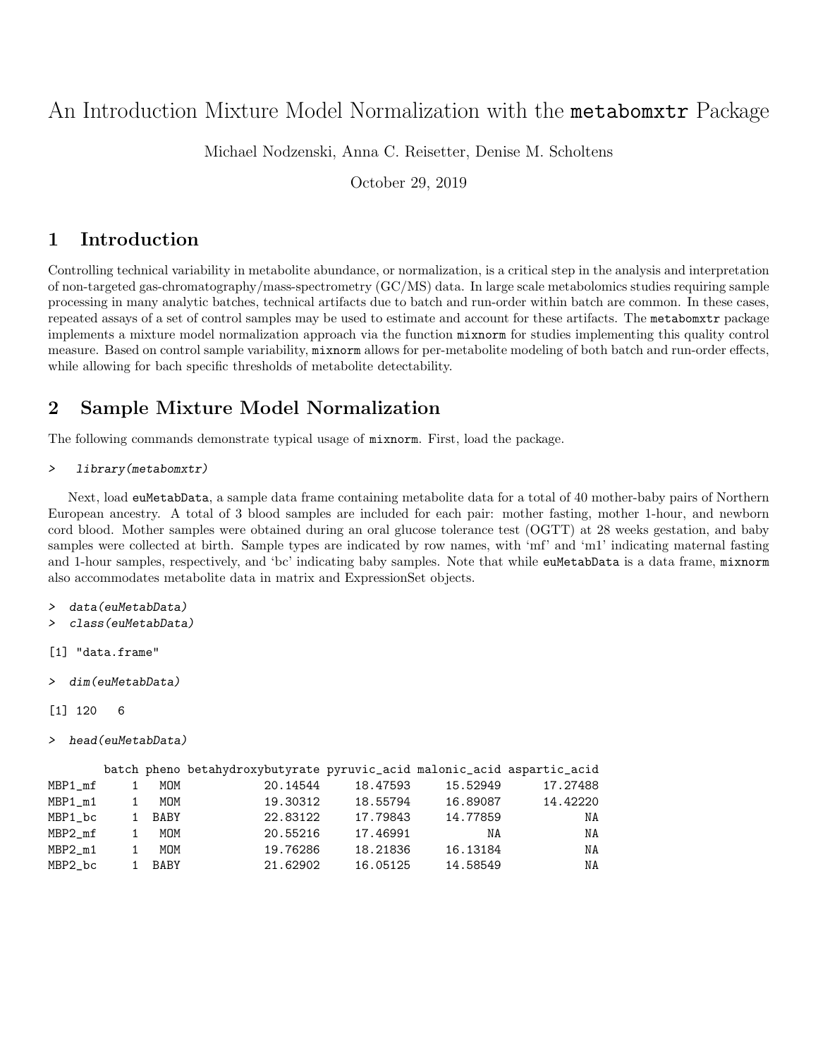# An Introduction Mixture Model Normalization with the metabomxtr Package

Michael Nodzenski, Anna C. Reisetter, Denise M. Scholtens

October 29, 2019

## 1 Introduction

Controlling technical variability in metabolite abundance, or normalization, is a critical step in the analysis and interpretation of non-targeted gas-chromatography/mass-spectrometry (GC/MS) data. In large scale metabolomics studies requiring sample processing in many analytic batches, technical artifacts due to batch and run-order within batch are common. In these cases, repeated assays of a set of control samples may be used to estimate and account for these artifacts. The metabomxtr package implements a mixture model normalization approach via the function mixnorm for studies implementing this quality control measure. Based on control sample variability, mixnorm allows for per-metabolite modeling of both batch and run-order effects, while allowing for bach specific thresholds of metabolite detectability.

## 2 Sample Mixture Model Normalization

The following commands demonstrate typical usage of mixnorm. First, load the package.

```
> library(metabomxtr)
```
Next, load euMetabData, a sample data frame containing metabolite data for a total of 40 mother-baby pairs of Northern European ancestry. A total of 3 blood samples are included for each pair: mother fasting, mother 1-hour, and newborn cord blood. Mother samples were obtained during an oral glucose tolerance test (OGTT) at 28 weeks gestation, and baby samples were collected at birth. Sample types are indicated by row names, with 'mf' and 'm1' indicating maternal fasting and 1-hour samples, respectively, and 'bc' indicating baby samples. Note that while euMetabData is a data frame, mixnorm also accommodates metabolite data in matrix and ExpressionSet objects.

```
> data(euMetabData)
```

```
> class(euMetabData)
```

```
[1] "data.frame"
```

```
> dim(euMetabData)
```

```
[1] 120 6
```

```
> head(euMetabData)
```

|         |             | batch pheno betahydroxybutyrate pyruvic_acid malonic_acid aspartic_acid |          |          |          |
|---------|-------------|-------------------------------------------------------------------------|----------|----------|----------|
| MBP1_mf | MOM         | 20.14544                                                                | 18,47593 | 15.52949 | 17.27488 |
| MBP1_m1 | MOM         | 19.30312                                                                | 18.55794 | 16.89087 | 14.42220 |
| MBP1 bc | <b>BABY</b> | 22.83122                                                                | 17.79843 | 14.77859 | NA       |
| MBP2 mf | MOM         | 20.55216                                                                | 17.46991 | ΝA       | NA       |
| MBP2 m1 | MOM         | 19.76286                                                                | 18.21836 | 16.13184 | NA       |
| MBP2_bc | <b>BABY</b> | 21.62902                                                                | 16.05125 | 14.58549 | NA       |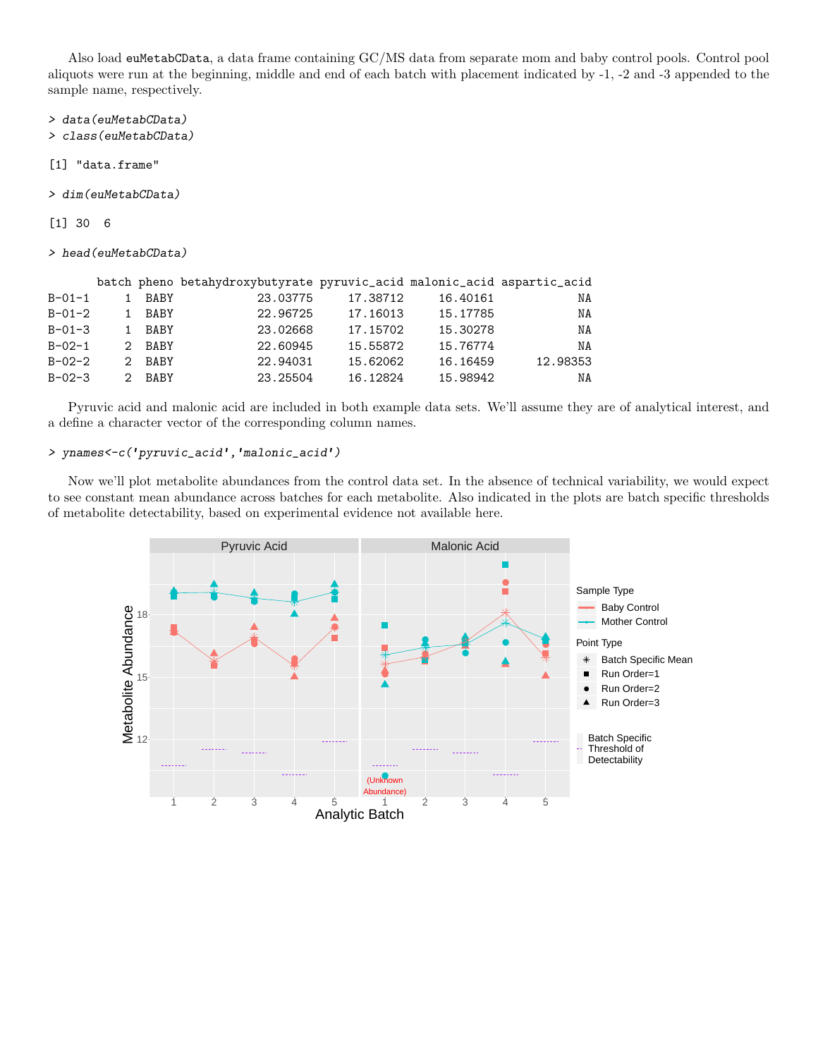Also load euMetabCData, a data frame containing GC/MS data from separate mom and baby control pools. Control pool aliquots were run at the beginning, middle and end of each batch with placement indicated by -1, -2 and -3 appended to the sample name, respectively.

> data(euMetabCData)

> class(euMetabCData)

- [1] "data.frame"
- > dim(euMetabCData)

[1] 30 6

> head(euMetabCData)

|              |    |             | batch pheno betahydroxybutyrate pyruvic_acid malonic_acid aspartic_acid |          |          |          |
|--------------|----|-------------|-------------------------------------------------------------------------|----------|----------|----------|
| $B - 01 - 1$ |    | <b>BABY</b> | 23.03775                                                                | 17.38712 | 16.40161 | ΝA       |
| $B - 01 - 2$ |    | <b>BABY</b> | 22.96725                                                                | 17.16013 | 15.17785 | NA       |
| $B - 01 - 3$ |    | <b>BABY</b> | 23.02668                                                                | 17.15702 | 15.30278 | NA       |
| $B - 02 - 1$ |    | 2 BABY      | 22.60945                                                                | 15.55872 | 15.76774 | NA       |
| $B - 02 - 2$ | 2. | <b>BABY</b> | 22.94031                                                                | 15.62062 | 16.16459 | 12.98353 |
| $B - 02 - 3$ |    | 2 BABY      | 23.25504                                                                | 16.12824 | 15.98942 | ΝA       |

Pyruvic acid and malonic acid are included in both example data sets. We'll assume they are of analytical interest, and a define a character vector of the corresponding column names.

### > ynames<-c('pyruvic\_acid','malonic\_acid')

Now we'll plot metabolite abundances from the control data set. In the absence of technical variability, we would expect to see constant mean abundance across batches for each metabolite. Also indicated in the plots are batch specific thresholds of metabolite detectability, based on experimental evidence not available here.

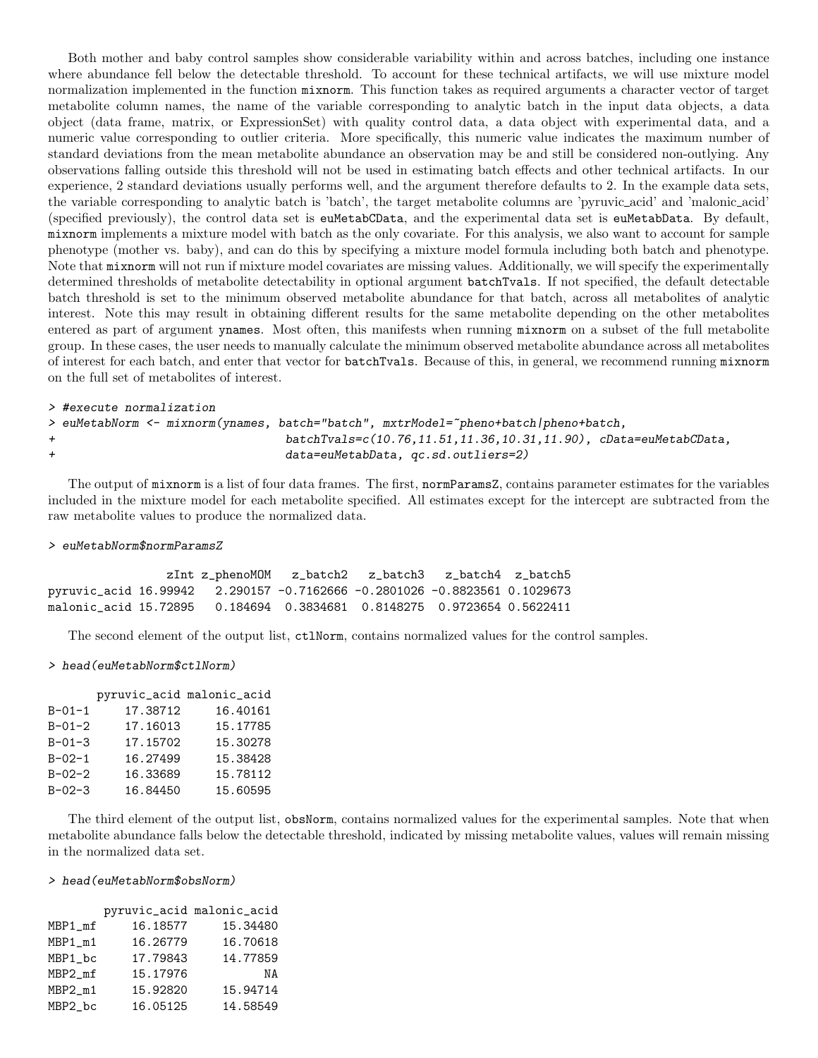Both mother and baby control samples show considerable variability within and across batches, including one instance where abundance fell below the detectable threshold. To account for these technical artifacts, we will use mixture model normalization implemented in the function mixnorm. This function takes as required arguments a character vector of target metabolite column names, the name of the variable corresponding to analytic batch in the input data objects, a data object (data frame, matrix, or ExpressionSet) with quality control data, a data object with experimental data, and a numeric value corresponding to outlier criteria. More specifically, this numeric value indicates the maximum number of standard deviations from the mean metabolite abundance an observation may be and still be considered non-outlying. Any observations falling outside this threshold will not be used in estimating batch effects and other technical artifacts. In our experience, 2 standard deviations usually performs well, and the argument therefore defaults to 2. In the example data sets, the variable corresponding to analytic batch is 'batch', the target metabolite columns are 'pyruvic acid' and 'malonic acid' (specified previously), the control data set is euMetabCData, and the experimental data set is euMetabData. By default, mixnorm implements a mixture model with batch as the only covariate. For this analysis, we also want to account for sample phenotype (mother vs. baby), and can do this by specifying a mixture model formula including both batch and phenotype. Note that mixnorm will not run if mixture model covariates are missing values. Additionally, we will specify the experimentally determined thresholds of metabolite detectability in optional argument batchTvals. If not specified, the default detectable batch threshold is set to the minimum observed metabolite abundance for that batch, across all metabolites of analytic interest. Note this may result in obtaining different results for the same metabolite depending on the other metabolites entered as part of argument ynames. Most often, this manifests when running mixnorm on a subset of the full metabolite group. In these cases, the user needs to manually calculate the minimum observed metabolite abundance across all metabolites of interest for each batch, and enter that vector for batchTvals. Because of this, in general, we recommend running mixnorm on the full set of metabolites of interest.

```
> #execute normalization
```
> euMetabNorm <- mixnorm(ynames, batch="batch", mxtrModel=~pheno+batch|pheno+batch, + batchTvals=c(10.76,11.51,11.36,10.31,11.90), cData=euMetabCData, + data=euMetabData, qc.sd.outliers=2)

The output of mixnorm is a list of four data frames. The first, normParamsZ, contains parameter estimates for the variables included in the mixture model for each metabolite specified. All estimates except for the intercept are subtracted from the raw metabolite values to produce the normalized data.

#### > euMetabNorm\$normParamsZ

zInt z\_phenoMOM z\_batch2 z\_batch3 z\_batch4 z\_batch5 pyruvic\_acid 16.99942 2.290157 -0.7162666 -0.2801026 -0.8823561 0.1029673 malonic\_acid 15.72895 0.184694 0.3834681 0.8148275 0.9723654 0.5622411

The second element of the output list, ctlNorm, contains normalized values for the control samples.

#### > head(euMetabNorm\$ctlNorm)

|              |          | pyruvic_acid malonic_acid |
|--------------|----------|---------------------------|
| $B - 01 - 1$ | 17.38712 | 16.40161                  |
| $B - 01 - 2$ | 17.16013 | 15.17785                  |
| $B - 01 - 3$ | 17.15702 | 15.30278                  |
| $B - 02 - 1$ | 16.27499 | 15.38428                  |
| $B - 02 - 2$ | 16.33689 | 15.78112                  |
| $B - 02 - 3$ | 16.84450 | 15.60595                  |
|              |          |                           |

The third element of the output list, obsNorm, contains normalized values for the experimental samples. Note that when metabolite abundance falls below the detectable threshold, indicated by missing metabolite values, values will remain missing in the normalized data set.

#### > head(euMetabNorm\$obsNorm)

|         | pyruvic_acid malonic_acid |          |
|---------|---------------------------|----------|
| MBP1 mf | 16.18577                  | 15.34480 |
| MBP1_m1 | 16.26779                  | 16.70618 |
| MBP1 bc | 17.79843                  | 14.77859 |
| MBP2 mf | 15.17976                  | ΝA       |
| MBP2 m1 | 15.92820                  | 15.94714 |
| MBP2_bc | 16.05125                  | 14.58549 |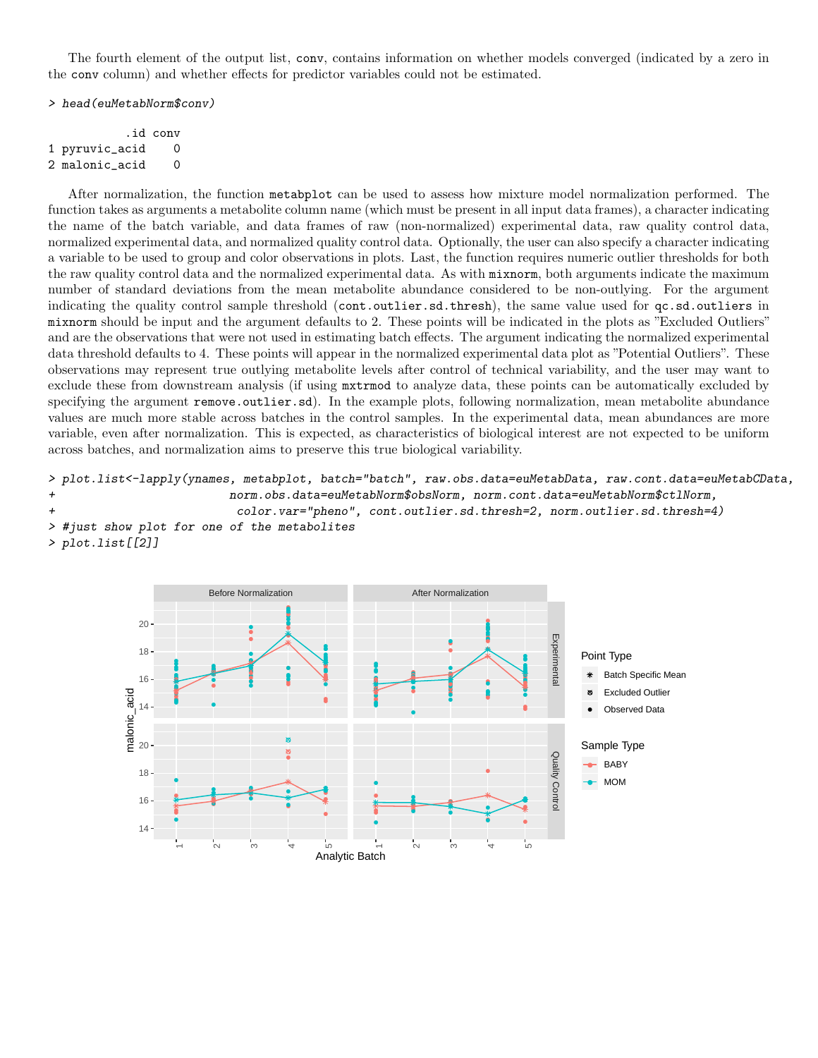The fourth element of the output list, conv, contains information on whether models converged (indicated by a zero in the conv column) and whether effects for predictor variables could not be estimated.

#### > head(euMetabNorm\$conv)

|                | id conv. |
|----------------|----------|
| 1 pyruvic_acid | O        |
| 2 malonic_acid | O        |

After normalization, the function metabplot can be used to assess how mixture model normalization performed. The function takes as arguments a metabolite column name (which must be present in all input data frames), a character indicating the name of the batch variable, and data frames of raw (non-normalized) experimental data, raw quality control data, normalized experimental data, and normalized quality control data. Optionally, the user can also specify a character indicating a variable to be used to group and color observations in plots. Last, the function requires numeric outlier thresholds for both the raw quality control data and the normalized experimental data. As with mixnorm, both arguments indicate the maximum number of standard deviations from the mean metabolite abundance considered to be non-outlying. For the argument indicating the quality control sample threshold (cont.outlier.sd.thresh), the same value used for  $qc$ .sd.outliers in mixnorm should be input and the argument defaults to 2. These points will be indicated in the plots as "Excluded Outliers" and are the observations that were not used in estimating batch effects. The argument indicating the normalized experimental data threshold defaults to 4. These points will appear in the normalized experimental data plot as "Potential Outliers". These observations may represent true outlying metabolite levels after control of technical variability, and the user may want to exclude these from downstream analysis (if using mxtrmod to analyze data, these points can be automatically excluded by specifying the argument remove.outlier.sd). In the example plots, following normalization, mean metabolite abundance values are much more stable across batches in the control samples. In the experimental data, mean abundances are more variable, even after normalization. This is expected, as characteristics of biological interest are not expected to be uniform across batches, and normalization aims to preserve this true biological variability.

```
> plot.list<-lapply(ynames, metabplot, batch="batch", raw.obs.data=euMetabData, raw.cont.data=euMetabCData,
+ norm.obs.data=euMetabNorm$obsNorm, norm.cont.data=euMetabNorm$ctlNorm,
+ color.var="pheno", cont.outlier.sd.thresh=2, norm.outlier.sd.thresh=4)
> #just show plot for one of the metabolites
> plot.list[[2]]
```
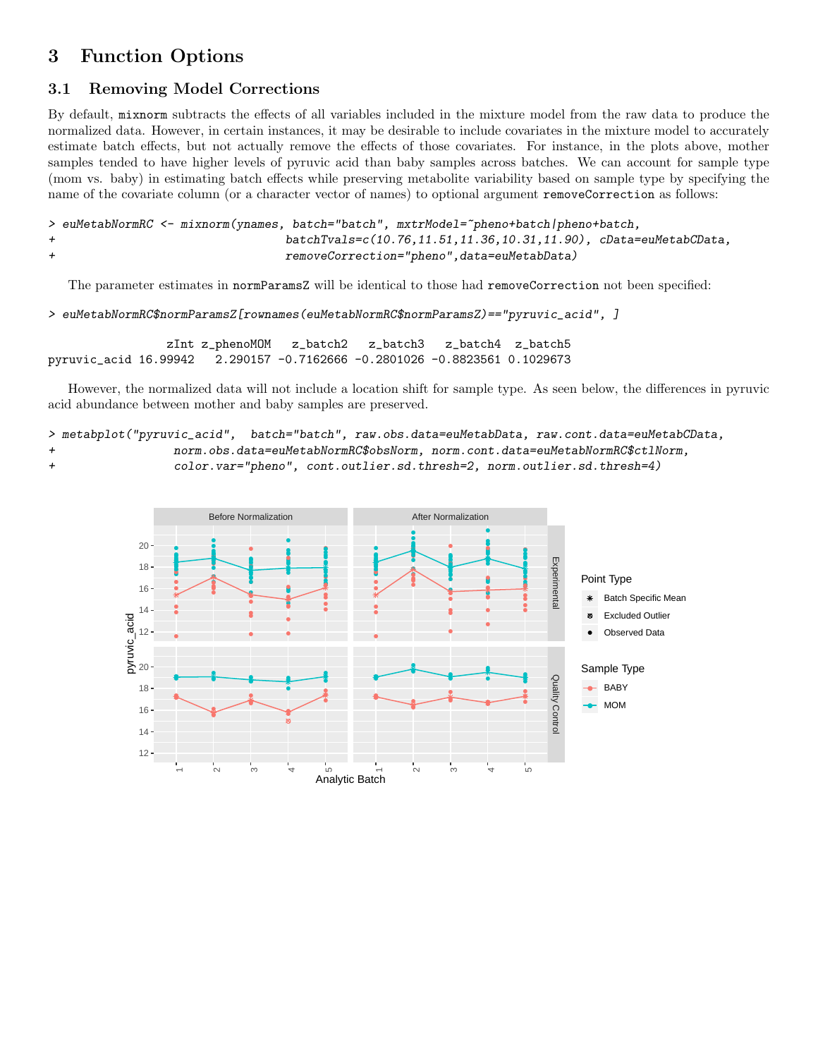## 3 Function Options

### 3.1 Removing Model Corrections

By default, mixnorm subtracts the effects of all variables included in the mixture model from the raw data to produce the normalized data. However, in certain instances, it may be desirable to include covariates in the mixture model to accurately estimate batch effects, but not actually remove the effects of those covariates. For instance, in the plots above, mother samples tended to have higher levels of pyruvic acid than baby samples across batches. We can account for sample type (mom vs. baby) in estimating batch effects while preserving metabolite variability based on sample type by specifying the name of the covariate column (or a character vector of names) to optional argument removeCorrection as follows:

```
> euMetabNormRC <- mixnorm(ynames, batch="batch", mxtrModel="pheno+batch|pheno+batch,
+ batchTvals=c(10.76,11.51,11.36,10.31,11.90), cData=euMetabCData,
+ removeCorrection="pheno",data=euMetabData)
```
The parameter estimates in normParamsZ will be identical to those had removeCorrection not been specified:

```
> euMetabNormRC$normParamsZ[rownames(euMetabNormRC$normParamsZ)=="pyruvic_acid", ]
```
zInt z\_phenoMOM z\_batch2 z\_batch3 z\_batch4 z\_batch5 pyruvic\_acid 16.99942 2.290157 -0.7162666 -0.2801026 -0.8823561 0.1029673

However, the normalized data will not include a location shift for sample type. As seen below, the differences in pyruvic acid abundance between mother and baby samples are preserved.

> metabplot("pyruvic\_acid", batch="batch", raw.obs.data=euMetabData, raw.cont.data=euMetabCData, + norm.obs.data=euMetabNormRC\$obsNorm, norm.cont.data=euMetabNormRC\$ctlNorm,

+ color.var="pheno", cont.outlier.sd.thresh=2, norm.outlier.sd.thresh=4)

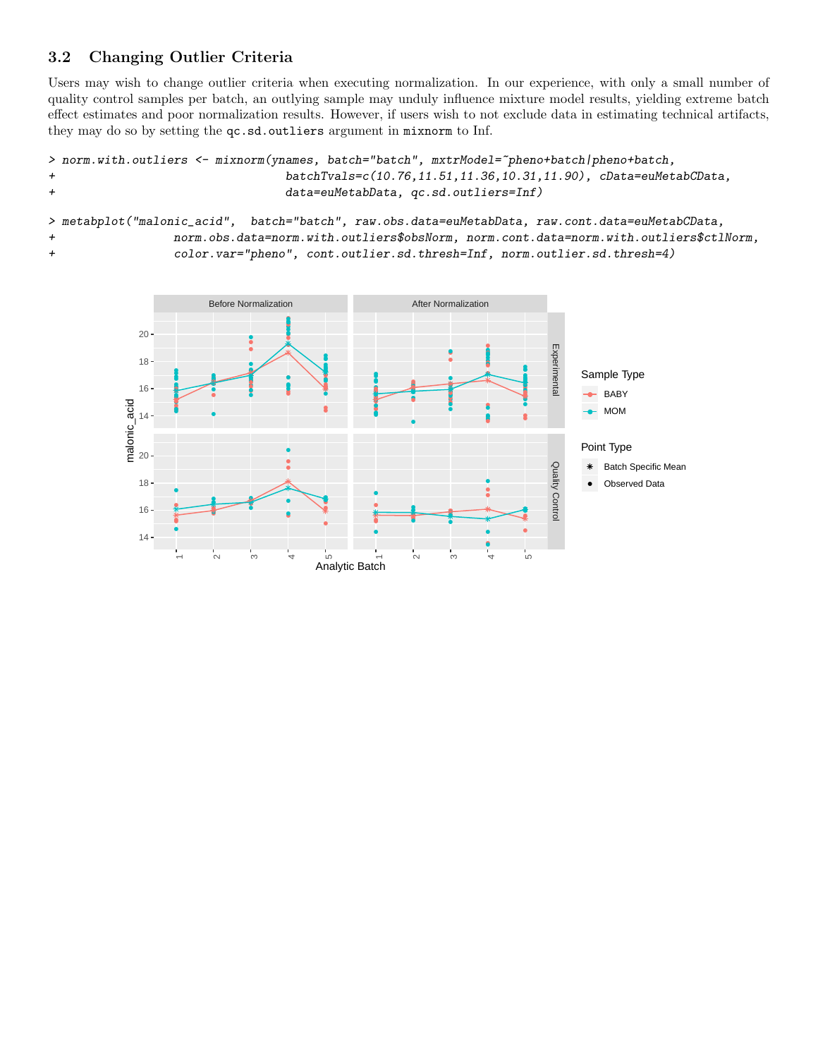### 3.2 Changing Outlier Criteria

Users may wish to change outlier criteria when executing normalization. In our experience, with only a small number of quality control samples per batch, an outlying sample may unduly influence mixture model results, yielding extreme batch effect estimates and poor normalization results. However, if users wish to not exclude data in estimating technical artifacts, they may do so by setting the qc.sd.outliers argument in mixnorm to Inf.

```
> norm.with.outliers <- mixnorm(ynames, batch="batch", mxtrModel="pheno+batch|pheno+batch,
+ batchTvals=c(10.76,11.51,11.36,10.31,11.90), cData=euMetabCData,
+ data=euMetabData, qc.sd.outliers=Inf)
```
> metabplot("malonic\_acid", batch="batch", raw.obs.data=euMetabData, raw.cont.data=euMetabCData, + norm.obs.data=norm.with.outliers\$obsNorm, norm.cont.data=norm.with.outliers\$ctlNorm, + color.var="pheno", cont.outlier.sd.thresh=Inf, norm.outlier.sd.thresh=4)

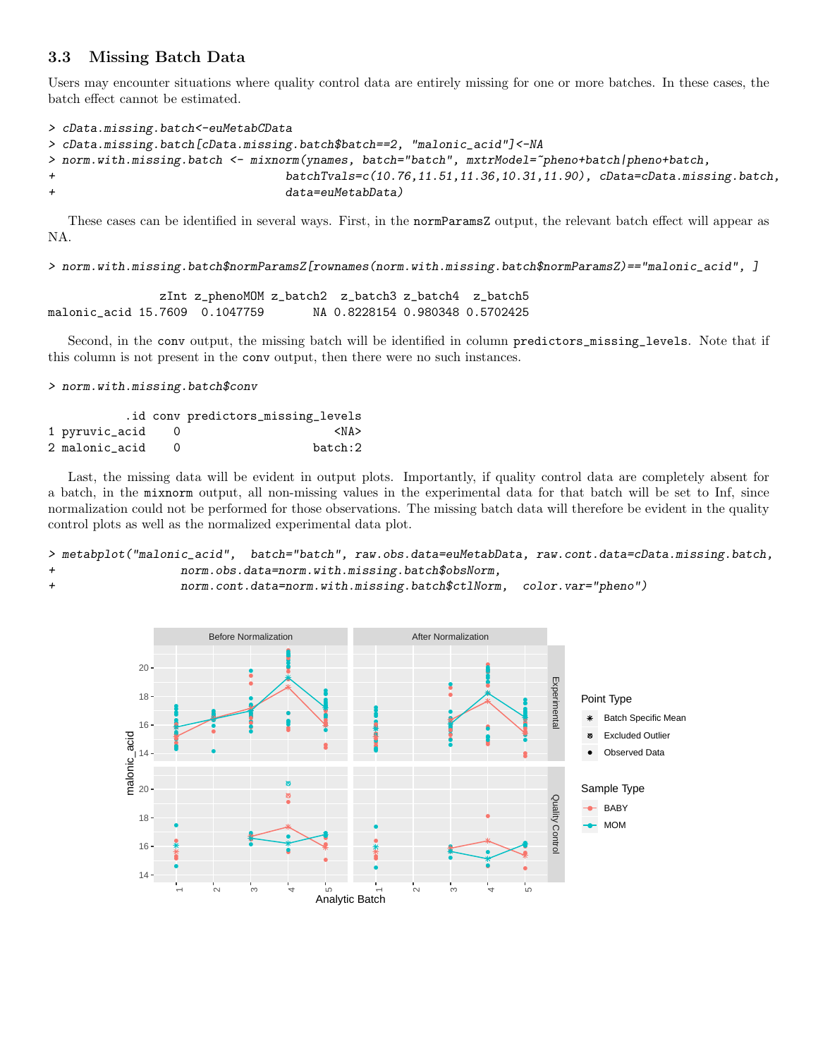### 3.3 Missing Batch Data

Users may encounter situations where quality control data are entirely missing for one or more batches. In these cases, the batch effect cannot be estimated.

```
> cData.missing.batch<-euMetabCData
> cData.missing.batch[cData.missing.batch$batch==2, "malonic_acid"]<-NA
> norm.with.missing.batch <- mixnorm(ynames, batch="batch", mxtrModel=~pheno+batch|pheno+batch,
+ batchTvals=c(10.76,11.51,11.36,10.31,11.90), cData=cData.missing.batch,
+ data=euMetabData)
```
These cases can be identified in several ways. First, in the normParamsZ output, the relevant batch effect will appear as NA.

> norm.with.missing.batch\$normParamsZ[rownames(norm.with.missing.batch\$normParamsZ)=="malonic\_acid", ]

```
zInt z_phenoMOM z_batch2 z_batch3 z_batch4 z_batch5
malonic_acid 15.7609 0.1047759 NA 0.8228154 0.980348 0.5702425
```
Second, in the conv output, the missing batch will be identified in column predictors\_missing\_levels. Note that if this column is not present in the conv output, then there were no such instances.

> norm.with.missing.batch\$conv

|                | .id conv predictors_missing_levels |
|----------------|------------------------------------|
| 1 pyruvic_acid | $<$ NA $>$                         |
| 2 malonic acid | batch:2                            |

Last, the missing data will be evident in output plots. Importantly, if quality control data are completely absent for a batch, in the mixnorm output, all non-missing values in the experimental data for that batch will be set to Inf, since normalization could not be performed for those observations. The missing batch data will therefore be evident in the quality control plots as well as the normalized experimental data plot.

> metabplot("malonic\_acid", batch="batch", raw.obs.data=euMetabData, raw.cont.data=cData.missing.batch, + norm.obs.data=norm.with.missing.batch\$obsNorm,

+ norm.cont.data=norm.with.missing.batch\$ctlNorm, color.var="pheno")

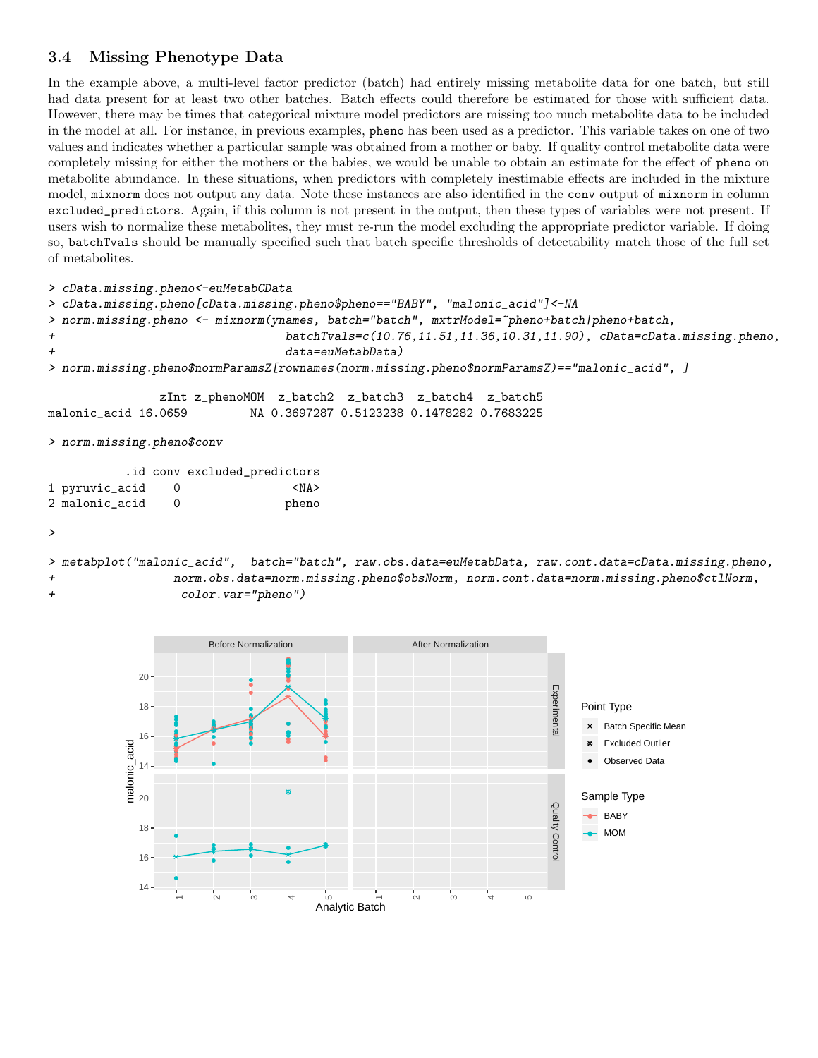### 3.4 Missing Phenotype Data

In the example above, a multi-level factor predictor (batch) had entirely missing metabolite data for one batch, but still had data present for at least two other batches. Batch effects could therefore be estimated for those with sufficient data. However, there may be times that categorical mixture model predictors are missing too much metabolite data to be included in the model at all. For instance, in previous examples, pheno has been used as a predictor. This variable takes on one of two values and indicates whether a particular sample was obtained from a mother or baby. If quality control metabolite data were completely missing for either the mothers or the babies, we would be unable to obtain an estimate for the effect of pheno on metabolite abundance. In these situations, when predictors with completely inestimable effects are included in the mixture model, mixnorm does not output any data. Note these instances are also identified in the conv output of mixnorm in column excluded\_predictors. Again, if this column is not present in the output, then these types of variables were not present. If users wish to normalize these metabolites, they must re-run the model excluding the appropriate predictor variable. If doing so, batchTvals should be manually specified such that batch specific thresholds of detectability match those of the full set of metabolites.

> cData.missing.pheno<-euMetabCData

```
> cData.missing.pheno[cData.missing.pheno$pheno=="BABY", "malonic_acid"]<-NA
> norm.missing.pheno <- mixnorm(ynames, batch="batch", mxtrModel="pheno+batch|pheno+batch,
+ batchTvals=c(10.76,11.51,11.36,10.31,11.90), cData=cData.missing.pheno,
+ data=euMetabData)
> norm.missing.pheno$normParamsZ[rownames(norm.missing.pheno$normParamsZ)=="malonic_acid", ]
              zInt z_phenoMOM z_batch2 z_batch3 z_batch4 z_batch5
malonic_acid 16.0659 NA 0.3697287 0.5123238 0.1478282 0.7683225
> norm.missing.pheno$conv
         .id conv excluded_predictors
1 pyruvic_acid 0 <NA>
```

| 1 pyruvic_acid | <na></na> |
|----------------|-----------|
| 2 malonic acid | pheno     |

```
>
```
> metabplot("malonic\_acid", batch="batch", raw.obs.data=euMetabData, raw.cont.data=cData.missing.pheno, + norm.obs.data=norm.missing.pheno\$obsNorm, norm.cont.data=norm.missing.pheno\$ctlNorm, + color.var="pheno")